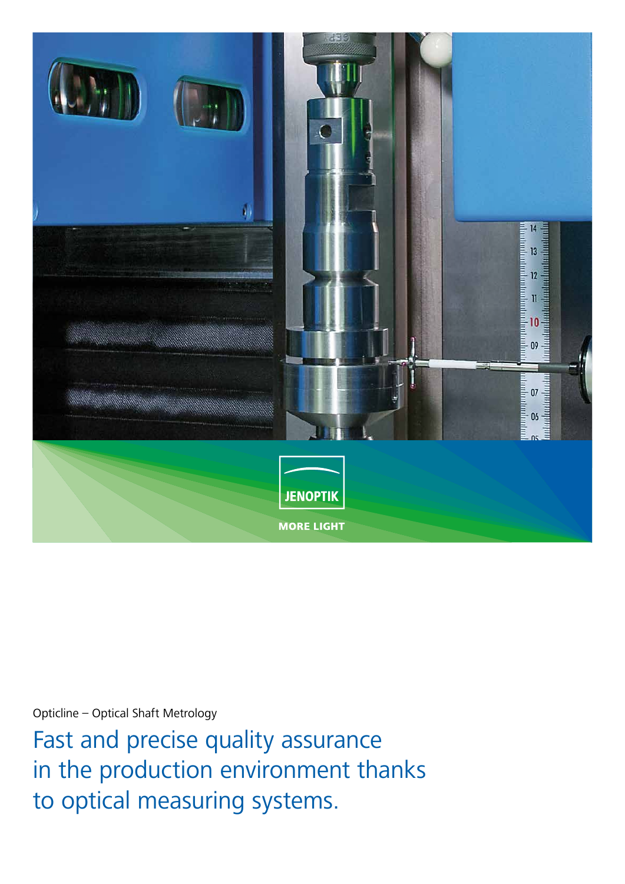

Opticline – Optical Shaft Metrology

Fast and precise quality assurance in the production environment thanks to optical measuring systems.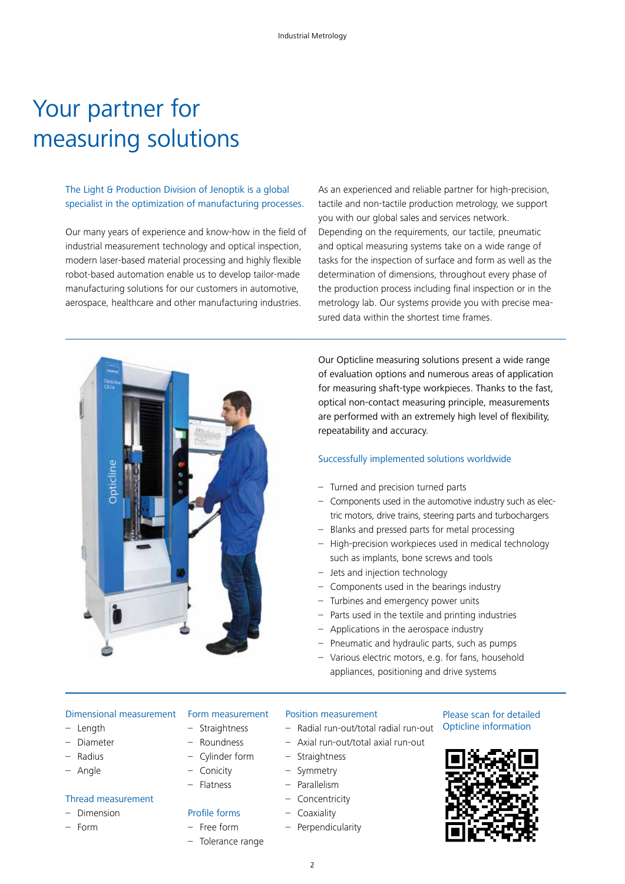# Your partner for measuring solutions

### The Light & Production Division of Jenoptik is a global specialist in the optimization of manufacturing processes.

Our many years of experience and know-how in the field of industrial measurement technology and optical inspection, modern laser-based material processing and highly flexible robot-based automation enable us to develop tailor-made manufacturing solutions for our customers in automotive, aerospace, healthcare and other manufacturing industries.

As an experienced and reliable partner for high-precision, tactile and non-tactile production metrology, we support you with our global sales and services network. Depending on the requirements, our tactile, pneumatic and optical measuring systems take on a wide range of tasks for the inspection of surface and form as well as the determination of dimensions, throughout every phase of the production process including final inspection or in the metrology lab. Our systems provide you with precise measured data within the shortest time frames.



Our Opticline measuring solutions present a wide range of evaluation options and numerous areas of application for measuring shaft-type workpieces. Thanks to the fast, optical non-contact measuring principle, measurements are performed with an extremely high level of flexibility, repeatability and accuracy.

#### Successfully implemented solutions worldwide

- Turned and precision turned parts
- Components used in the automotive industry such as electric motors, drive trains, steering parts and turbochargers
- Blanks and pressed parts for metal processing
- High-precision workpieces used in medical technology such as implants, bone screws and tools
- Jets and injection technology
- Components used in the bearings industry
- Turbines and emergency power units
- Parts used in the textile and printing industries
- Applications in the aerospace industry
- Pneumatic and hydraulic parts, such as pumps
- Various electric motors, e.g. for fans, household appliances, positioning and drive systems

#### Dimensional measurement

- Length
- Diameter
- Radius
- Angle

### Thread measurement

- Dimension
- Form

#### Form measurement – Straightness

- Roundness
- Cylinder form
- Conicity
- Flatness

### Profile forms

- Free form
- Tolerance range

### Position measurement

- Radial run-out/total radial run-out
- Axial run-out/total axial run-out
- Straightness
- Symmetry
- Parallelism
- Concentricity
- Coaxiality
	- Perpendicularity

#### Please scan for detailed Opticline information

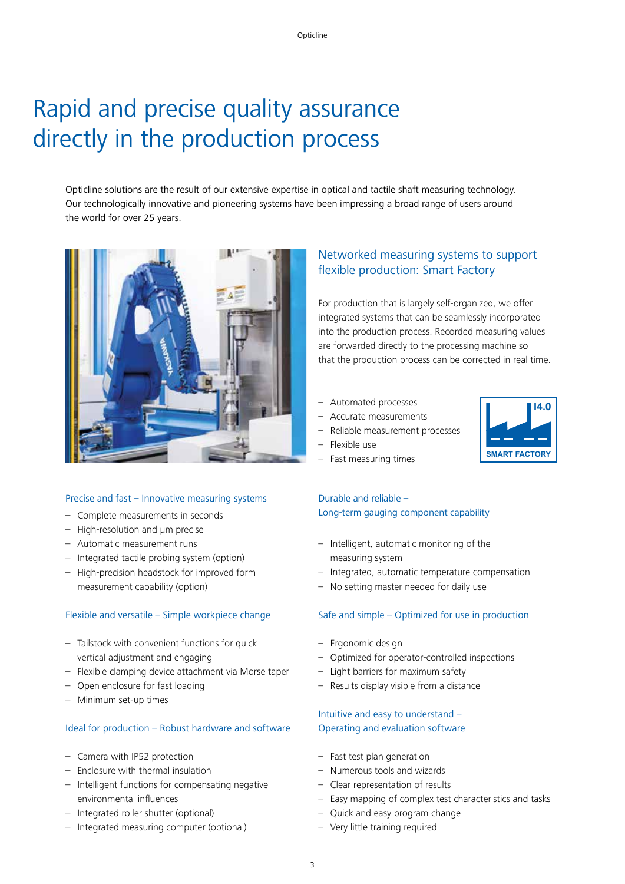# Rapid and precise quality assurance directly in the production process

Opticline solutions are the result of our extensive expertise in optical and tactile shaft measuring technology. Our technologically innovative and pioneering systems have been impressing a broad range of users around the world for over 25 years.



#### Precise and fast – Innovative measuring systems

- Complete measurements in seconds
- High-resolution and μm precise
- Automatic measurement runs
- Integrated tactile probing system (option)
- High-precision headstock for improved form measurement capability (option)

#### Flexible and versatile – Simple workpiece change

- Tailstock with convenient functions for quick vertical adjustment and engaging
- Flexible clamping device attachment via Morse taper
- Open enclosure for fast loading
- Minimum set-up times

#### Ideal for production – Robust hardware and software

- Camera with IP52 protection
- Enclosure with thermal insulation
- Intelligent functions for compensating negative environmental influences
- Integrated roller shutter (optional)
- Integrated measuring computer (optional)

### Networked measuring systems to support flexible production: Smart Factory

For production that is largely self-organized, we offer integrated systems that can be seamlessly incorporated into the production process. Recorded measuring values are forwarded directly to the processing machine so that the production process can be corrected in real time.

- Automated processes
- Accurate measurements
- Reliable measurement processes
- Flexible use
- Fast measuring times

### Durable and reliable – Long-term gauging component capability

- Intelligent, automatic monitoring of the measuring system
- Integrated, automatic temperature compensation
- No setting master needed for daily use

#### Safe and simple – Optimized for use in production

- Ergonomic design
- Optimized for operator-controlled inspections
- Light barriers for maximum safety
- Results display visible from a distance

### Intuitive and easy to understand – Operating and evaluation software

- Fast test plan generation
- Numerous tools and wizards
- Clear representation of results
- Easy mapping of complex test characteristics and tasks
- Quick and easy program change
- Very little training required

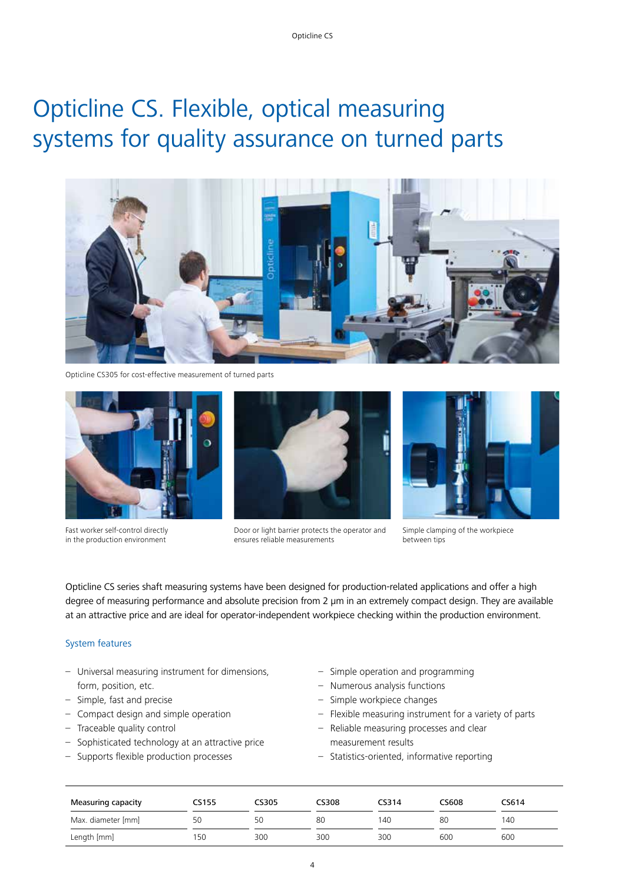# Opticline CS. Flexible, optical measuring systems for quality assurance on turned parts



Opticline CS305 for cost-effective measurement of turned parts



Fast worker self-control directly in the production environment



Door or light barrier protects the operator and ensures reliable measurements



Simple clamping of the workpiece between tips

Opticline CS series shaft measuring systems have been designed for production-related applications and offer a high degree of measuring performance and absolute precision from 2 μm in an extremely compact design. They are available at an attractive price and are ideal for operator-independent workpiece checking within the production environment.

#### System features

- Universal measuring instrument for dimensions, form, position, etc.
- Simple, fast and precise
- Compact design and simple operation
- Traceable quality control
- Sophisticated technology at an attractive price
- Supports flexible production processes
- Simple operation and programming
- Numerous analysis functions
- Simple workpiece changes
- Flexible measuring instrument for a variety of parts
- Reliable measuring processes and clear measurement results
- Statistics-oriented, informative reporting

| <b>Measuring capacity</b> | CS155 | CS305 | CS308 | CS314 | CS608 | CS614 |
|---------------------------|-------|-------|-------|-------|-------|-------|
| Max. diameter [mm]        | 50    | 50    | 80    | 140   | 80    | 140   |
| Length [mm]               | 150   | 300   | 300   | 300   | 600   | 600   |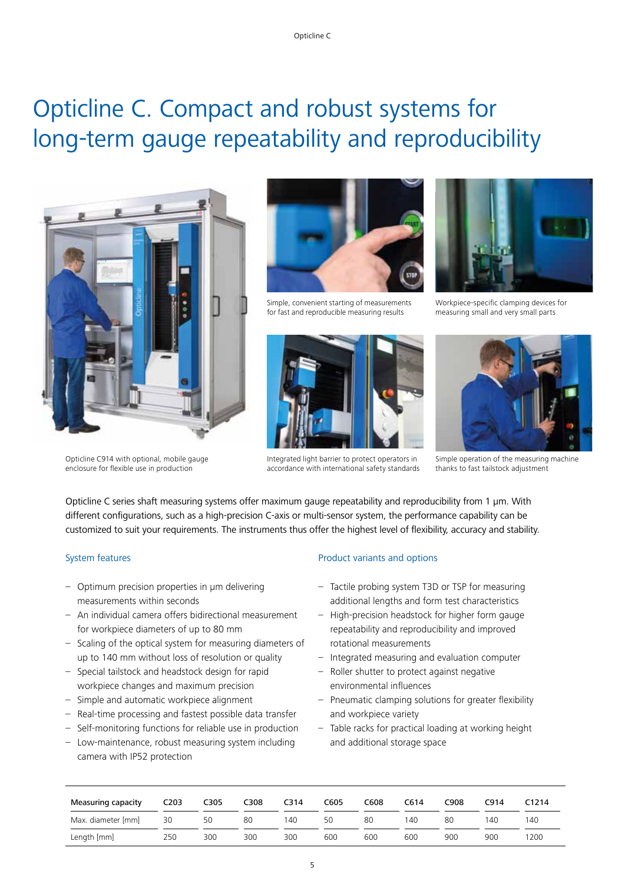# Opticline C. Compact and robust systems for long-term gauge repeatability and reproducibility



Opticline C914 with optional, mobile gauge enclosure for flexible use in production



Simple, convenient starting of measurements for fast and reproducible measuring results



Integrated light barrier to protect operators in accordance with international safety standards



Workpiece-specific clamping devices for measuring small and very small parts



Simple operation of the measuring machine thanks to fast tailstock adjustment

Opticline C series shaft measuring systems offer maximum gauge repeatability and reproducibility from 1 μm. With different configurations, such as a high-precision C-axis or multi-sensor system, the performance capability can be customized to suit your requirements. The instruments thus offer the highest level of flexibility, accuracy and stability.

#### System features

- Optimum precision properties in μm delivering measurements within seconds
- An individual camera offers bidirectional measurement for workpiece diameters of up to 80 mm
- Scaling of the optical system for measuring diameters of up to 140 mm without loss of resolution or quality
- Special tailstock and headstock design for rapid workpiece changes and maximum precision
- Simple and automatic workpiece alignment
- Real-time processing and fastest possible data transfer
- Self-monitoring functions for reliable use in production
- Low-maintenance, robust measuring system including camera with IP52 protection

### Product variants and options

- Tactile probing system T3D or TSP for measuring additional lengths and form test characteristics
- High-precision headstock for higher form gauge repeatability and reproducibility and improved rotational measurements
- Integrated measuring and evaluation computer
- Roller shutter to protect against negative environmental influences
- Pneumatic clamping solutions for greater flexibility and workpiece variety
- Table racks for practical loading at working height and additional storage space

| Measuring capacity | C <sub>2</sub> 03 | C305 | C308 | C314 | C605 | C608 | C614 | C908 | C914 | C1214 |
|--------------------|-------------------|------|------|------|------|------|------|------|------|-------|
| Max. diameter [mm] | 30                | 50   | 80   | 140  | 50   | 80   | 140  | 80   | 140  | 140   |
| Length [mm]        | 250               | 300  | 300  | 300  | 600  | 600  | 600  | 900  | 900  | 1200  |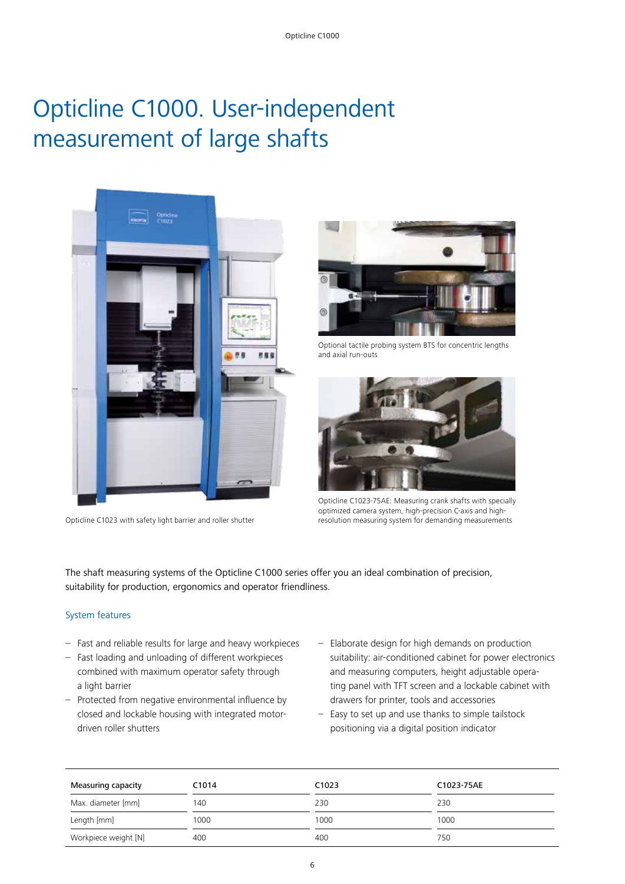# Opticline C1000. User-independent measurement of large shafts



Opticline C1023 with safety light barrier and roller shutter



Optional tactile probing system BTS for concentric lengths and axial run-outs



Opticline C1023-75AE: Measuring crank shafts with specially optimized camera system, high-precision C-axis and highresolution measuring system for demanding measurements

The shaft measuring systems of the Opticline C1000 series offer you an ideal combination of precision, suitability for production, ergonomics and operator friendliness.

#### System features

- Fast and reliable results for large and heavy workpieces
- Fast loading and unloading of different workpieces combined with maximum operator safety through a light barrier
- Protected from negative environmental influence by closed and lockable housing with integrated motordriven roller shutters
- Elaborate design for high demands on production suitability: air-conditioned cabinet for power electronics and measuring computers, height adjustable operating panel with TFT screen and a lockable cabinet with drawers for printer, tools and accessories
- Easy to set up and use thanks to simple tailstock positioning via a digital position indicator

| Measuring capacity   | C <sub>1014</sub> | C <sub>1023</sub> | C1023-75AE |
|----------------------|-------------------|-------------------|------------|
| Max. diameter [mm]   | 140               | 230               | 230        |
| Length [mm]          | 1000              | 1000              | 1000       |
| Workpiece weight [N] | 400               | 400               | 750        |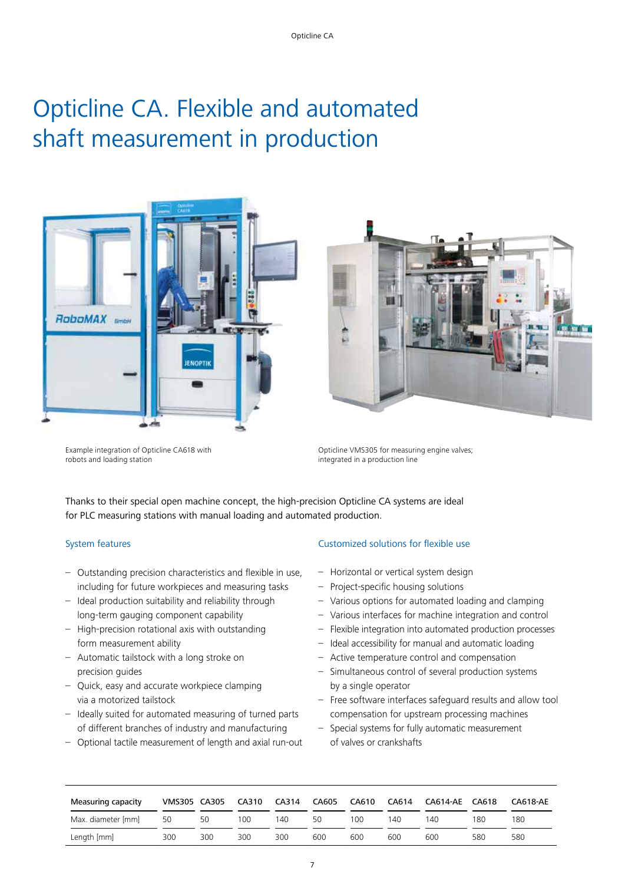# Opticline CA. Flexible and automated shaft measurement in production





Example integration of Opticline CA618 with robots and loading station

Opticline VMS305 for measuring engine valves; integrated in a production line

Thanks to their special open machine concept, the high-precision Opticline CA systems are ideal for PLC measuring stations with manual loading and automated production.

#### System features

- Outstanding precision characteristics and flexible in use, including for future workpieces and measuring tasks
- Ideal production suitability and reliability through long-term gauging component capability
- High-precision rotational axis with outstanding form measurement ability
- Automatic tailstock with a long stroke on precision guides
- Quick, easy and accurate workpiece clamping via a motorized tailstock
- Ideally suited for automated measuring of turned parts of different branches of industry and manufacturing
- Optional tactile measurement of length and axial run-out

#### Customized solutions for flexible use

- Horizontal or vertical system design
- Project-specific housing solutions
- Various options for automated loading and clamping
- Various interfaces for machine integration and control
- Flexible integration into automated production processes
- Ideal accessibility for manual and automatic loading
- Active temperature control and compensation
- Simultaneous control of several production systems by a single operator
- Free software interfaces safeguard results and allow tool compensation for upstream processing machines
- Special systems for fully automatic measurement of valves or crankshafts

| Measuring capacity | VMS305 CA305 |     | CA310 | CA314 | CA605 | CA610 | CA614 | CA614-AE CA618 |     | CA618-AE |
|--------------------|--------------|-----|-------|-------|-------|-------|-------|----------------|-----|----------|
| Max. diameter [mm] | 50           | 50  | 100   | 140   | 50    | 100   | 140   | 140            | 180 | 180      |
| Length [mm]        | 300          | 300 | 300   | 300   | 600   | 600   | 600   | 600            | 580 | 580      |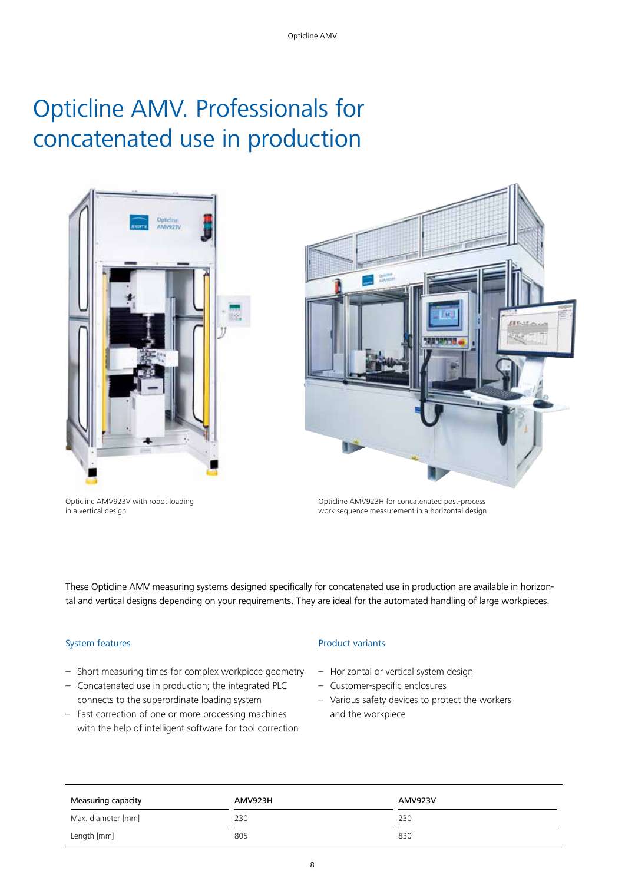# Opticline AMV. Professionals for concatenated use in production



Opticline AMV923V with robot loading in a vertical design



Opticline AMV923H for concatenated post-process work sequence measurement in a horizontal design

These Opticline AMV measuring systems designed specifically for concatenated use in production are available in horizontal and vertical designs depending on your requirements. They are ideal for the automated handling of large workpieces.

### System features

- Short measuring times for complex workpiece geometry
- Concatenated use in production; the integrated PLC connects to the superordinate loading system
- Fast correction of one or more processing machines with the help of intelligent software for tool correction

#### Product variants

- Horizontal or vertical system design
- Customer-specific enclosures
- Various safety devices to protect the workers and the workpiece

| Measuring capacity | AMV923H | AMV923V |
|--------------------|---------|---------|
| Max. diameter [mm] | 230     | 230     |
| Length [mm]        | 805     | 830     |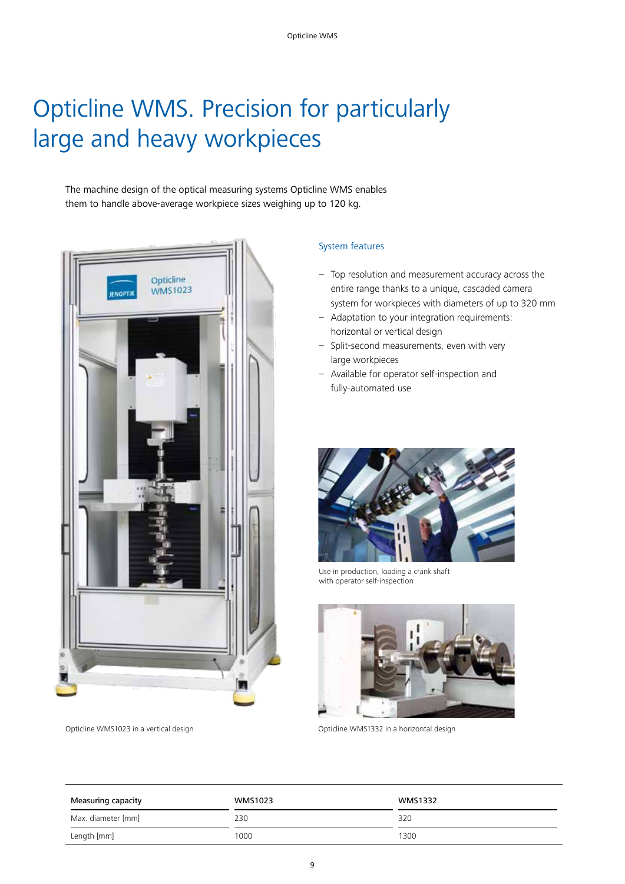# Opticline WMS. Precision for particularly large and heavy workpieces

The machine design of the optical measuring systems Opticline WMS enables them to handle above-average workpiece sizes weighing up to 120 kg.



### System features

- Top resolution and measurement accuracy across the entire range thanks to a unique, cascaded camera system for workpieces with diameters of up to 320 mm
- Adaptation to your integration requirements: horizontal or vertical design
- Split-second measurements, even with very large workpieces
- Available for operator self-inspection and fully-automated use



Use in production, loading a crank shaft with operator self-inspection



Opticline WMS1023 in a vertical design a second opticline WMS1332 in a horizontal design

| Measuring capacity | WMS1023 | <b>WMS1332</b> |  |  |
|--------------------|---------|----------------|--|--|
| Max. diameter [mm] | 230     | 320            |  |  |
| Length [mm]        | 1000    | 1300           |  |  |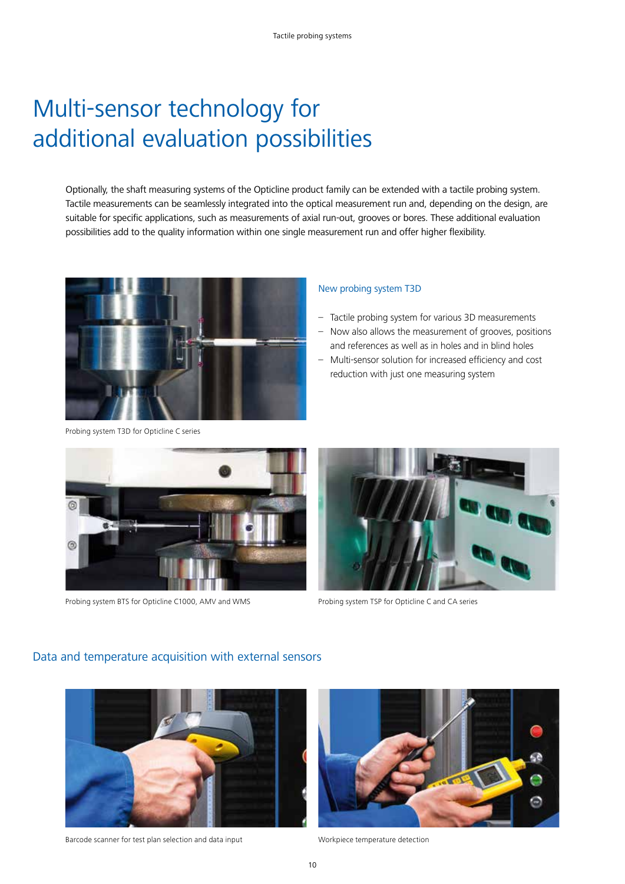# Multi-sensor technology for additional evaluation possibilities

Optionally, the shaft measuring systems of the Opticline product family can be extended with a tactile probing system. Tactile measurements can be seamlessly integrated into the optical measurement run and, depending on the design, are suitable for specific applications, such as measurements of axial run-out, grooves or bores. These additional evaluation possibilities add to the quality information within one single measurement run and offer higher flexibility.



Probing system T3D for Opticline C series

#### New probing system T3D

- Tactile probing system for various 3D measurements
- Now also allows the measurement of grooves, positions and references as well as in holes and in blind holes
- Multi-sensor solution for increased efficiency and cost reduction with just one measuring system



Probing system BTS for Opticline C1000, AMV and WMS Probing system TSP for Opticline C and CA series



### Data and temperature acquisition with external sensors



Barcode scanner for test plan selection and data input Workpiece temperature detection

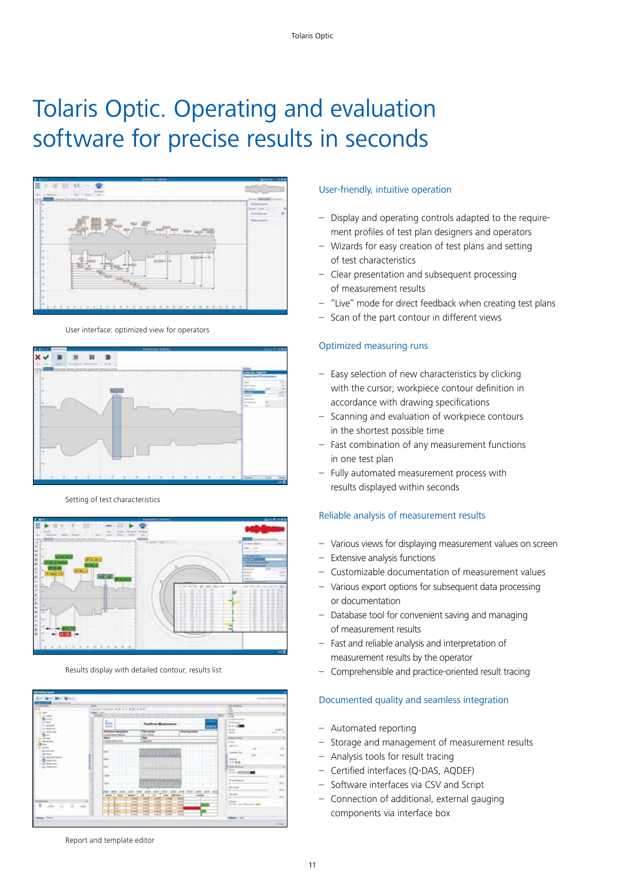# Tolaris Optic. Operating and evaluation software for precise results in seconds



User interface: optimized view for operators



Setting of test characteristics



Results display with detailed contour, results list

#### Report and template editor

#### User-friendly, intuitive operation

- Display and operating controls adapted to the requirement profiles of test plan designers and operators
- Wizards for easy creation of test plans and setting of test characteristics
- Clear presentation and subsequent processing of measurement results
- "Live" mode for direct feedback when creating test plans
- Scan of the part contour in different views

#### Optimized measuring runs

- Easy selection of new characteristics by clicking with the cursor; workpiece contour definition in accordance with drawing specifications
- Scanning and evaluation of workpiece contours in the shortest possible time
- Fast combination of any measurement functions in one test plan
- Fully automated measurement process with results displayed within seconds

#### Reliable analysis of measurement results

- Various views for displaying measurement values on screen
- Extensive analysis functions
- Customizable documentation of measurement values
- Various export options for subsequent data processing or documentation
- Database tool for convenient saving and managing of measurement results
- Fast and reliable analysis and interpretation of measurement results by the operator
- Comprehensible and practice-oriented result tracing

#### Documented quality and seamless integration

- Automated reporting
- Storage and management of measurement results
- Analysis tools for result tracing
- Certified interfaces (Q-DAS, AQDEF)
- Software interfaces via CSV and Script
- Connection of additional, external gauging components via interface box